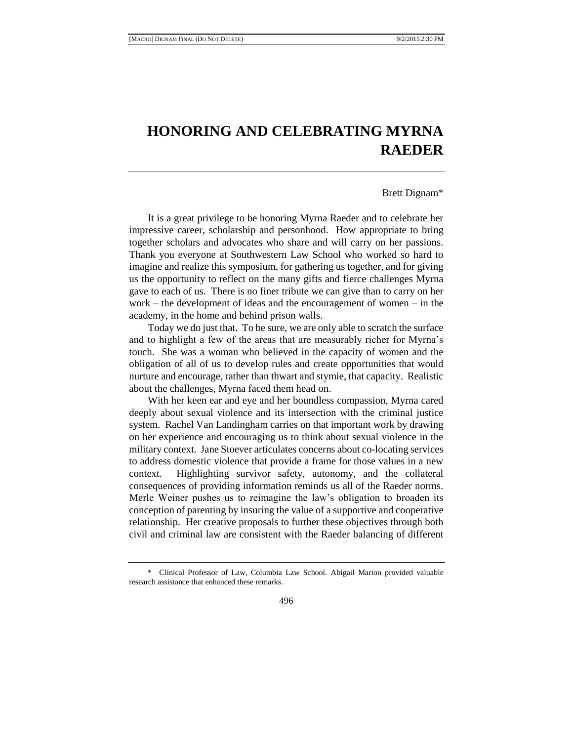## **HONORING AND CELEBRATING MYRNA RAEDER**

## Brett Dignam\*

It is a great privilege to be honoring Myrna Raeder and to celebrate her impressive career, scholarship and personhood. How appropriate to bring together scholars and advocates who share and will carry on her passions. Thank you everyone at Southwestern Law School who worked so hard to imagine and realize this symposium, for gathering us together, and for giving us the opportunity to reflect on the many gifts and fierce challenges Myrna gave to each of us. There is no finer tribute we can give than to carry on her work – the development of ideas and the encouragement of women – in the academy, in the home and behind prison walls.

Today we do just that. To be sure, we are only able to scratch the surface and to highlight a few of the areas that are measurably richer for Myrna's touch. She was a woman who believed in the capacity of women and the obligation of all of us to develop rules and create opportunities that would nurture and encourage, rather than thwart and stymie, that capacity. Realistic about the challenges, Myrna faced them head on.

With her keen ear and eye and her boundless compassion, Myrna cared deeply about sexual violence and its intersection with the criminal justice system. Rachel Van Landingham carries on that important work by drawing on her experience and encouraging us to think about sexual violence in the military context. Jane Stoever articulates concerns about co-locating services to address domestic violence that provide a frame for those values in a new context. Highlighting survivor safety, autonomy, and the collateral consequences of providing information reminds us all of the Raeder norms. Merle Weiner pushes us to reimagine the law's obligation to broaden its conception of parenting by insuring the value of a supportive and cooperative relationship. Her creative proposals to further these objectives through both civil and criminal law are consistent with the Raeder balancing of different

<sup>\*</sup> Clinical Professor of Law, Columbia Law School. Abigail Marion provided valuable research assistance that enhanced these remarks.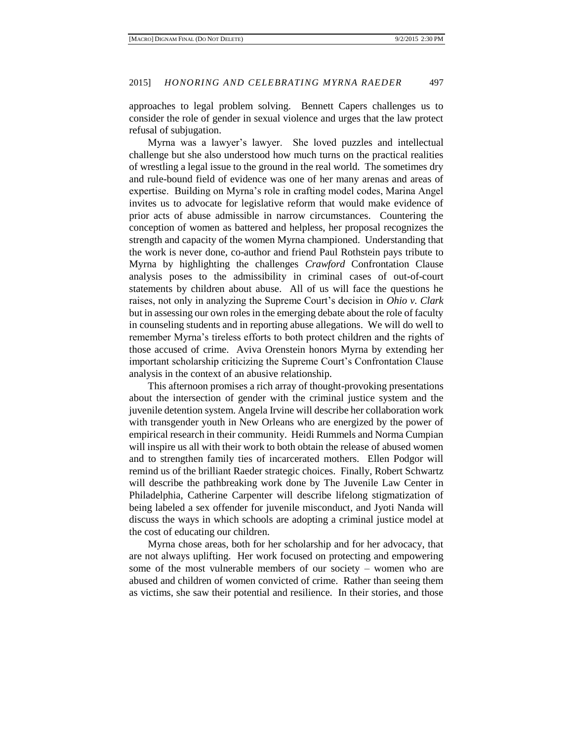approaches to legal problem solving. Bennett Capers challenges us to consider the role of gender in sexual violence and urges that the law protect refusal of subjugation.

Myrna was a lawyer's lawyer. She loved puzzles and intellectual challenge but she also understood how much turns on the practical realities of wrestling a legal issue to the ground in the real world. The sometimes dry and rule-bound field of evidence was one of her many arenas and areas of expertise. Building on Myrna's role in crafting model codes, Marina Angel invites us to advocate for legislative reform that would make evidence of prior acts of abuse admissible in narrow circumstances. Countering the conception of women as battered and helpless, her proposal recognizes the strength and capacity of the women Myrna championed. Understanding that the work is never done, co-author and friend Paul Rothstein pays tribute to Myrna by highlighting the challenges *Crawford* Confrontation Clause analysis poses to the admissibility in criminal cases of out-of-court statements by children about abuse. All of us will face the questions he raises, not only in analyzing the Supreme Court's decision in *Ohio v. Clark* but in assessing our own roles in the emerging debate about the role of faculty in counseling students and in reporting abuse allegations. We will do well to remember Myrna's tireless efforts to both protect children and the rights of those accused of crime. Aviva Orenstein honors Myrna by extending her important scholarship criticizing the Supreme Court's Confrontation Clause analysis in the context of an abusive relationship.

This afternoon promises a rich array of thought-provoking presentations about the intersection of gender with the criminal justice system and the juvenile detention system. Angela Irvine will describe her collaboration work with transgender youth in New Orleans who are energized by the power of empirical research in their community. Heidi Rummels and Norma Cumpian will inspire us all with their work to both obtain the release of abused women and to strengthen family ties of incarcerated mothers. Ellen Podgor will remind us of the brilliant Raeder strategic choices. Finally, Robert Schwartz will describe the pathbreaking work done by The Juvenile Law Center in Philadelphia, Catherine Carpenter will describe lifelong stigmatization of being labeled a sex offender for juvenile misconduct, and Jyoti Nanda will discuss the ways in which schools are adopting a criminal justice model at the cost of educating our children.

Myrna chose areas, both for her scholarship and for her advocacy, that are not always uplifting. Her work focused on protecting and empowering some of the most vulnerable members of our society – women who are abused and children of women convicted of crime. Rather than seeing them as victims, she saw their potential and resilience. In their stories, and those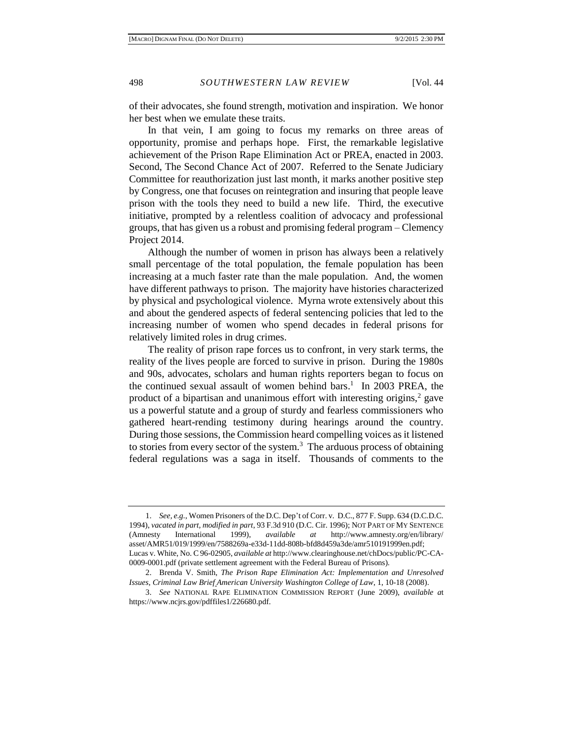of their advocates, she found strength, motivation and inspiration. We honor her best when we emulate these traits.

In that vein, I am going to focus my remarks on three areas of opportunity, promise and perhaps hope. First, the remarkable legislative achievement of the Prison Rape Elimination Act or PREA, enacted in 2003. Second, The Second Chance Act of 2007. Referred to the Senate Judiciary Committee for reauthorization just last month, it marks another positive step by Congress, one that focuses on reintegration and insuring that people leave prison with the tools they need to build a new life. Third, the executive initiative, prompted by a relentless coalition of advocacy and professional groups, that has given us a robust and promising federal program – Clemency Project 2014.

Although the number of women in prison has always been a relatively small percentage of the total population, the female population has been increasing at a much faster rate than the male population. And, the women have different pathways to prison. The majority have histories characterized by physical and psychological violence. Myrna wrote extensively about this and about the gendered aspects of federal sentencing policies that led to the increasing number of women who spend decades in federal prisons for relatively limited roles in drug crimes.

The reality of prison rape forces us to confront, in very stark terms, the reality of the lives people are forced to survive in prison. During the 1980s and 90s, advocates, scholars and human rights reporters began to focus on the continued sexual assault of women behind bars.<sup>1</sup> In 2003 PREA, the product of a bipartisan and unanimous effort with interesting origins,<sup>2</sup> gave us a powerful statute and a group of sturdy and fearless commissioners who gathered heart-rending testimony during hearings around the country. During those sessions, the Commission heard compelling voices as it listened to stories from every sector of the system.<sup>3</sup> The arduous process of obtaining federal regulations was a saga in itself. Thousands of comments to the

<sup>1.</sup> *See, e.g.*, Women Prisoners of the D.C. Dep't of Corr. v. D.C., 877 F. Supp. 634 (D.C.D.C. 1994), *vacated in part, modified in part*, 93 F.3d 910 (D.C. Cir. 1996); NOT PART OF MY SENTENCE (Amnesty International 1999), *available at* http://www.amnesty.org/en/library/ asset/AMR51/019/1999/en/7588269a-e33d-11dd-808b-bfd8d459a3de/amr510191999en.pdf; Lucas v. White, No. C 96-02905, *available at* http://www.clearinghouse.net/chDocs/public/PC-CA-0009-0001.pdf (private settlement agreement with the Federal Bureau of Prisons).

<sup>2.</sup> Brenda V. Smith, *The Prison Rape Elimination Act: Implementation and Unresolved Issues*, *Criminal Law Brief American University Washington College of Law*, 1, 10-18 (2008).

<sup>3.</sup> *See* NATIONAL RAPE ELIMINATION COMMISSION REPORT (June 2009), *available a*t https://www.ncjrs.gov/pdffiles1/226680.pdf.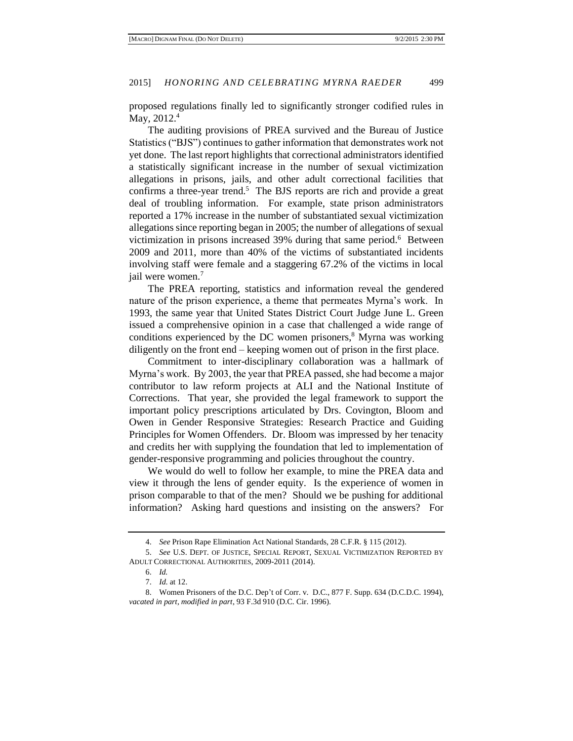proposed regulations finally led to significantly stronger codified rules in May, 2012.<sup>4</sup>

The auditing provisions of PREA survived and the Bureau of Justice Statistics ("BJS") continues to gather information that demonstrates work not yet done. The last report highlights that correctional administrators identified a statistically significant increase in the number of sexual victimization allegations in prisons, jails, and other adult correctional facilities that confirms a three-year trend.<sup>5</sup> The BJS reports are rich and provide a great deal of troubling information. For example, state prison administrators reported a 17% increase in the number of substantiated sexual victimization allegations since reporting began in 2005; the number of allegations of sexual victimization in prisons increased 39% during that same period.<sup>6</sup> Between 2009 and 2011, more than 40% of the victims of substantiated incidents involving staff were female and a staggering 67.2% of the victims in local jail were women.<sup>7</sup>

The PREA reporting, statistics and information reveal the gendered nature of the prison experience, a theme that permeates Myrna's work. In 1993, the same year that United States District Court Judge June L. Green issued a comprehensive opinion in a case that challenged a wide range of conditions experienced by the DC women prisoners, $\frac{8}{3}$  Myrna was working diligently on the front end – keeping women out of prison in the first place.

Commitment to inter-disciplinary collaboration was a hallmark of Myrna's work. By 2003, the year that PREA passed, she had become a major contributor to law reform projects at ALI and the National Institute of Corrections. That year, she provided the legal framework to support the important policy prescriptions articulated by Drs. Covington, Bloom and Owen in Gender Responsive Strategies: Research Practice and Guiding Principles for Women Offenders. Dr. Bloom was impressed by her tenacity and credits her with supplying the foundation that led to implementation of gender-responsive programming and policies throughout the country.

We would do well to follow her example, to mine the PREA data and view it through the lens of gender equity. Is the experience of women in prison comparable to that of the men? Should we be pushing for additional information? Asking hard questions and insisting on the answers? For

7. *Id*. at 12.

<sup>4.</sup> *See* Prison Rape Elimination Act National Standards, 28 C.F.R. § 115 (2012).

<sup>5.</sup> *See* U.S. DEPT. OF JUSTICE, SPECIAL REPORT, SEXUAL VICTIMIZATION REPORTED BY ADULT CORRECTIONAL AUTHORITIES, 2009-2011 (2014).

<sup>6.</sup> *Id.*

<sup>8.</sup> Women Prisoners of the D.C. Dep't of Corr. v. D.C., 877 F. Supp. 634 (D.C.D.C. 1994), *vacated in part, modified in part*, 93 F.3d 910 (D.C. Cir. 1996).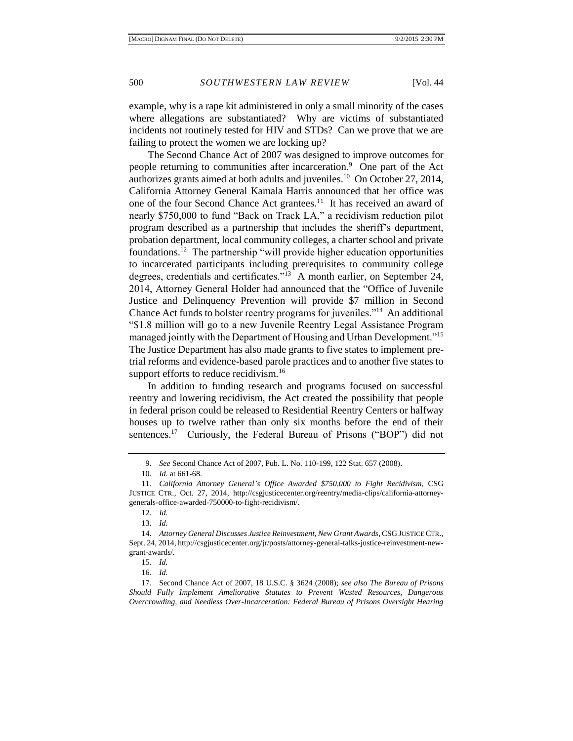example, why is a rape kit administered in only a small minority of the cases where allegations are substantiated? Why are victims of substantiated incidents not routinely tested for HIV and STDs? Can we prove that we are failing to protect the women we are locking up?

The Second Chance Act of 2007 was designed to improve outcomes for people returning to communities after incarceration.<sup>9</sup> One part of the Act authorizes grants aimed at both adults and juveniles.<sup>10</sup> On October 27, 2014, California Attorney General Kamala Harris announced that her office was one of the four Second Chance Act grantees.<sup>11</sup> It has received an award of nearly \$750,000 to fund "Back on Track LA," a recidivism reduction pilot program described as a partnership that includes the sheriff's department, probation department, local community colleges, a charter school and private foundations.<sup>12</sup> The partnership "will provide higher education opportunities to incarcerated participants including prerequisites to community college degrees, credentials and certificates."<sup>13</sup> A month earlier, on September 24, 2014, Attorney General Holder had announced that the "Office of Juvenile Justice and Delinquency Prevention will provide \$7 million in Second Chance Act funds to bolster reentry programs for juveniles."<sup>14</sup> An additional "\$1.8 million will go to a new Juvenile Reentry Legal Assistance Program managed jointly with the Department of Housing and Urban Development."<sup>15</sup> The Justice Department has also made grants to five states to implement pretrial reforms and evidence-based parole practices and to another five states to support efforts to reduce recidivism.<sup>16</sup>

In addition to funding research and programs focused on successful reentry and lowering recidivism, the Act created the possibility that people in federal prison could be released to Residential Reentry Centers or halfway houses up to twelve rather than only six months before the end of their sentences.<sup>17</sup> Curiously, the Federal Bureau of Prisons ("BOP") did not

13. *Id.*

15. *Id.*

16. *Id.*

<sup>9.</sup> *See* Second Chance Act of 2007, Pub. L. No. 110-199, 122 Stat. 657 (2008).

<sup>10.</sup> *Id.* at 661-68.

<sup>11.</sup> *California Attorney General's Office Awarded \$750,000 to Fight Recidivism*, CSG JUSTICE CTR., Oct. 27, 2014, http://csgjusticecenter.org/reentry/media-clips/california-attorneygenerals-office-awarded-750000-to-fight-recidivism/.

<sup>12.</sup> *Id.*

<sup>14.</sup> *Attorney General Discusses Justice Reinvestment, New Grant Awards*, CSG JUSTICE CTR., Sept. 24, 2014, http://csgjusticecenter.org/jr/posts/attorney-general-talks-justice-reinvestment-newgrant-awards/.

<sup>17.</sup> Second Chance Act of 2007, 18 U.S.C. § 3624 (2008); *see also The Bureau of Prisons Should Fully Implement Ameliorative Statutes to Prevent Wasted Resources, Dangerous Overcrowding, and Needless Over-Incarceration: Federal Bureau of Prisons Oversight Hearing*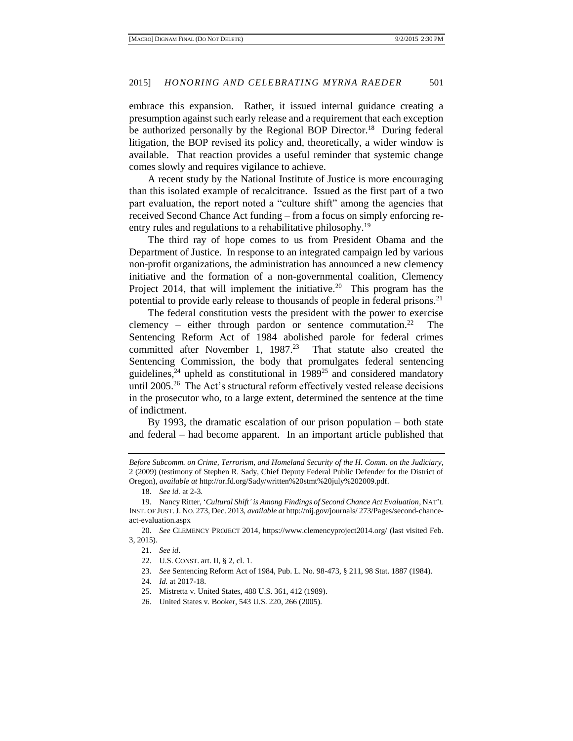embrace this expansion. Rather, it issued internal guidance creating a presumption against such early release and a requirement that each exception be authorized personally by the Regional BOP Director.<sup>18</sup> During federal litigation, the BOP revised its policy and, theoretically, a wider window is available. That reaction provides a useful reminder that systemic change comes slowly and requires vigilance to achieve.

A recent study by the National Institute of Justice is more encouraging than this isolated example of recalcitrance. Issued as the first part of a two part evaluation, the report noted a "culture shift" among the agencies that received Second Chance Act funding – from a focus on simply enforcing reentry rules and regulations to a rehabilitative philosophy.<sup>19</sup>

The third ray of hope comes to us from President Obama and the Department of Justice. In response to an integrated campaign led by various non-profit organizations, the administration has announced a new clemency initiative and the formation of a non-governmental coalition, Clemency Project 2014, that will implement the initiative.<sup>20</sup> This program has the potential to provide early release to thousands of people in federal prisons.<sup>21</sup>

The federal constitution vests the president with the power to exercise clemency – either through pardon or sentence commutation.<sup>22</sup> The Sentencing Reform Act of 1984 abolished parole for federal crimes committed after November 1,  $1987<sup>23</sup>$  That statute also created the Sentencing Commission, the body that promulgates federal sentencing guidelines,  $24$  upheld as constitutional in 1989<sup>25</sup> and considered mandatory until 2005.<sup>26</sup> The Act's structural reform effectively vested release decisions in the prosecutor who, to a large extent, determined the sentence at the time of indictment.

By 1993, the dramatic escalation of our prison population – both state and federal – had become apparent. In an important article published that

21. *See id*.

*Before Subcomm. on Crime, Terrorism, and Homeland Security of the H. Comm. on the Judiciary,*  2 (2009) (testimony of Stephen R. Sady, Chief Deputy Federal Public Defender for the District of Oregon), *available at* http://or.fd.org/Sady/written%20stmt%20july%202009.pdf.

<sup>18.</sup> *See id.* at 2-3.

<sup>19.</sup> Nancy Ritter, '*Cultural Shift' is Among Findings of Second Chance Act Evaluation*, NAT'L INST. OF JUST.J. NO. 273, Dec. 2013, *available at* http://nij.gov/journals/ 273/Pages/second-chanceact-evaluation.aspx

<sup>20.</sup> *See* CLEMENCY PROJECT 2014, https://www.clemencyproject2014.org/ (last visited Feb. 3, 2015).

<sup>22.</sup> U.S. CONST. art. II, § 2, cl. 1.

<sup>23.</sup> *See* Sentencing Reform Act of 1984, Pub. L. No. 98-473, § 211, 98 Stat. 1887 (1984).

<sup>24.</sup> *Id.* at 2017-18.

<sup>25.</sup> Mistretta v. United States, 488 U.S. 361, 412 (1989).

<sup>26.</sup> United States v. Booker, 543 U.S. 220, 266 (2005).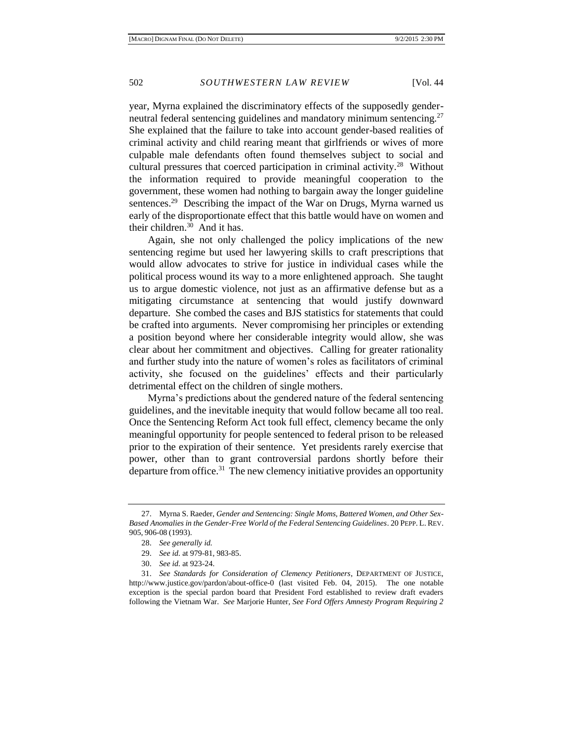year, Myrna explained the discriminatory effects of the supposedly genderneutral federal sentencing guidelines and mandatory minimum sentencing.<sup>27</sup> She explained that the failure to take into account gender-based realities of criminal activity and child rearing meant that girlfriends or wives of more culpable male defendants often found themselves subject to social and cultural pressures that coerced participation in criminal activity.<sup>28</sup> Without the information required to provide meaningful cooperation to the government, these women had nothing to bargain away the longer guideline sentences.<sup>29</sup> Describing the impact of the War on Drugs, Myrna warned us early of the disproportionate effect that this battle would have on women and their children.<sup>30</sup> And it has.

Again, she not only challenged the policy implications of the new sentencing regime but used her lawyering skills to craft prescriptions that would allow advocates to strive for justice in individual cases while the political process wound its way to a more enlightened approach. She taught us to argue domestic violence, not just as an affirmative defense but as a mitigating circumstance at sentencing that would justify downward departure. She combed the cases and BJS statistics for statements that could be crafted into arguments. Never compromising her principles or extending a position beyond where her considerable integrity would allow, she was clear about her commitment and objectives. Calling for greater rationality and further study into the nature of women's roles as facilitators of criminal activity, she focused on the guidelines' effects and their particularly detrimental effect on the children of single mothers.

Myrna's predictions about the gendered nature of the federal sentencing guidelines, and the inevitable inequity that would follow became all too real. Once the Sentencing Reform Act took full effect, clemency became the only meaningful opportunity for people sentenced to federal prison to be released prior to the expiration of their sentence. Yet presidents rarely exercise that power, other than to grant controversial pardons shortly before their departure from office.<sup>31</sup> The new clemency initiative provides an opportunity

<sup>27.</sup> Myrna S. Raeder, *Gender and Sentencing: Single Moms, Battered Women, and Other Sex-Based Anomalies in the Gender-Free World of the Federal Sentencing Guidelines*. 20 PEPP. L. REV. 905, 906-08 (1993).

<sup>28.</sup> *See generally id.*

<sup>29.</sup> *See id.* at 979-81, 983-85.

<sup>30.</sup> *See id.* at 923-24.

<sup>31.</sup> *See Standards for Consideration of Clemency Petitioners*, DEPARTMENT OF JUSTICE, http://www.justice.gov/pardon/about-office-0 (last visited Feb. 04, 2015). The one notable exception is the special pardon board that President Ford established to review draft evaders following the Vietnam War. *See* Marjorie Hunter, *See Ford Offers Amnesty Program Requiring 2*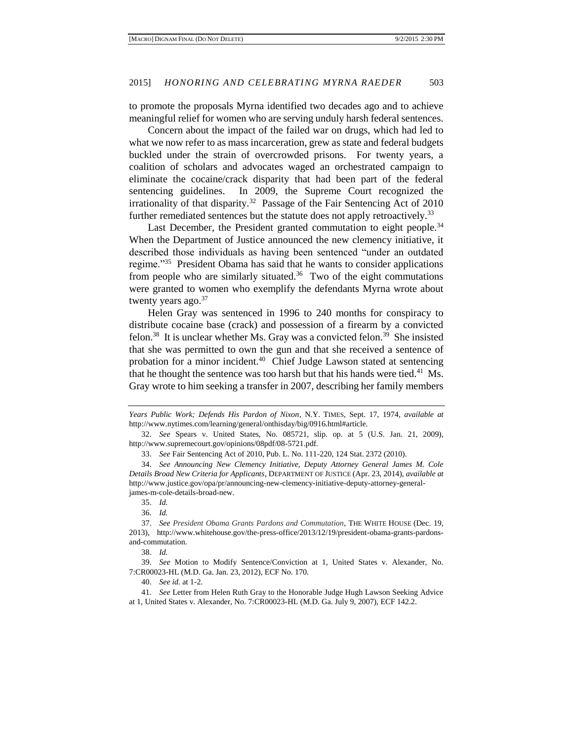to promote the proposals Myrna identified two decades ago and to achieve meaningful relief for women who are serving unduly harsh federal sentences.

Concern about the impact of the failed war on drugs, which had led to what we now refer to as mass incarceration, grew as state and federal budgets buckled under the strain of overcrowded prisons. For twenty years, a coalition of scholars and advocates waged an orchestrated campaign to eliminate the cocaine/crack disparity that had been part of the federal sentencing guidelines. In 2009, the Supreme Court recognized the irrationality of that disparity.<sup>32</sup> Passage of the Fair Sentencing Act of 2010 further remediated sentences but the statute does not apply retroactively.<sup>33</sup>

Last December, the President granted commutation to eight people.<sup>34</sup> When the Department of Justice announced the new clemency initiative, it described those individuals as having been sentenced "under an outdated regime."<sup>35</sup> President Obama has said that he wants to consider applications from people who are similarly situated.<sup>36</sup> Two of the eight commutations were granted to women who exemplify the defendants Myrna wrote about twenty years ago. $37$ 

Helen Gray was sentenced in 1996 to 240 months for conspiracy to distribute cocaine base (crack) and possession of a firearm by a convicted felon.<sup>38</sup> It is unclear whether Ms. Gray was a convicted felon.<sup>39</sup> She insisted that she was permitted to own the gun and that she received a sentence of probation for a minor incident.<sup>40</sup> Chief Judge Lawson stated at sentencing that he thought the sentence was too harsh but that his hands were tied. $^{41}$  Ms. Gray wrote to him seeking a transfer in 2007, describing her family members

40. *See id.* at 1-2.

41. *See* Letter from Helen Ruth Gray to the Honorable Judge Hugh Lawson Seeking Advice at 1, United States v. Alexander, No. 7:CR00023-HL (M.D. Ga. July 9, 2007), ECF 142.2.

*Years Public Work; Defends His Pardon of Nixon*, N.Y. TIMES, Sept. 17, 1974, *available at* http://www.nytimes.com/learning/general/onthisday/big/0916.html#article.

<sup>32.</sup> *See* Spears v. United States, No. 085721, slip. op. at 5 (U.S. Jan. 21, 2009), http://www.supremecourt.gov/opinions/08pdf/08-5721.pdf.

<sup>33.</sup> *See* Fair Sentencing Act of 2010, Pub. L. No. 111-220, 124 Stat. 2372 (2010).

<sup>34.</sup> *See Announcing New Clemency Initiative, Deputy Attorney General James M. Cole Details Broad New Criteria for Applicants*, DEPARTMENT OF JUSTICE (Apr. 23, 2014), *available at* http://www.justice.gov/opa/pr/announcing-new-clemency-initiative-deputy-attorney-generaljames-m-cole-details-broad-new.

<sup>35.</sup> *Id.*

<sup>36.</sup> *Id.*

<sup>37.</sup> *See President Obama Grants Pardons and Commutation*, THE WHITE HOUSE (Dec. 19, 2013), http://www.whitehouse.gov/the-press-office/2013/12/19/president-obama-grants-pardonsand-commutation.

<sup>38.</sup> *Id.*

<sup>39.</sup> *See* Motion to Modify Sentence/Conviction at 1, United States v. Alexander, No. 7:CR00023-HL (M.D. Ga. Jan. 23, 2012), ECF No. 170.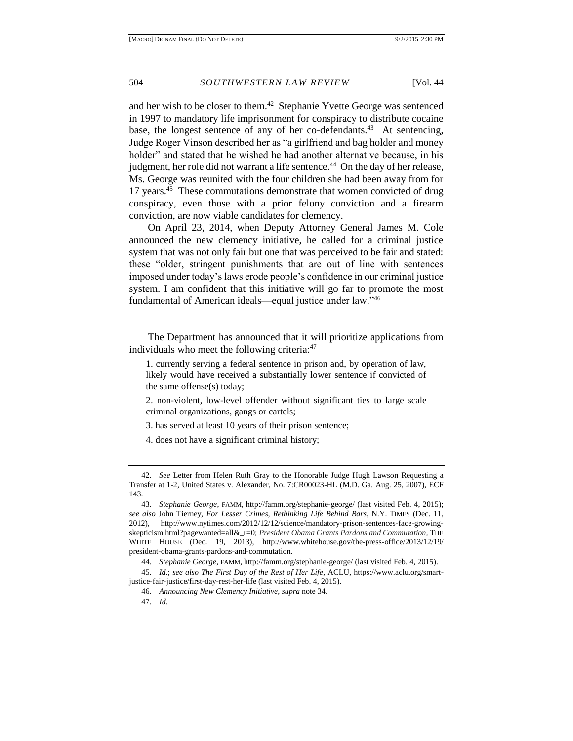and her wish to be closer to them. 42 Stephanie Yvette George was sentenced in 1997 to mandatory life imprisonment for conspiracy to distribute cocaine base, the longest sentence of any of her co-defendants.<sup>43</sup> At sentencing, Judge Roger Vinson described her as "a girlfriend and bag holder and money holder" and stated that he wished he had another alternative because, in his judgment, her role did not warrant a life sentence.<sup>44</sup> On the day of her release, Ms. George was reunited with the four children she had been away from for 17 years.<sup>45</sup> These commutations demonstrate that women convicted of drug conspiracy, even those with a prior felony conviction and a firearm conviction, are now viable candidates for clemency.

On April 23, 2014, when Deputy Attorney General James M. Cole announced the new clemency initiative, he called for a criminal justice system that was not only fair but one that was perceived to be fair and stated: these "older, stringent punishments that are out of line with sentences imposed under today's laws erode people's confidence in our criminal justice system. I am confident that this initiative will go far to promote the most fundamental of American ideals—equal justice under law."<sup>46</sup>

The Department has announced that it will prioritize applications from individuals who meet the following criteria:<sup>47</sup>

1. currently serving a federal sentence in prison and, by operation of law, likely would have received a substantially lower sentence if convicted of the same offense(s) today;

2. non-violent, low-level offender without significant ties to large scale criminal organizations, gangs or cartels;

3. has served at least 10 years of their prison sentence;

4. does not have a significant criminal history;

<sup>42.</sup> *See* Letter from Helen Ruth Gray to the Honorable Judge Hugh Lawson Requesting a Transfer at 1-2, United States v. Alexander, No. 7:CR00023-HL (M.D. Ga. Aug. 25, 2007), ECF 143.

<sup>43.</sup> *Stephanie George*, FAMM, http://famm.org/stephanie-george/ (last visited Feb. 4, 2015); *see also* John Tierney, *For Lesser Crimes, Rethinking Life Behind Bars*, N.Y. TIMES (Dec. 11, 2012), http://www.nytimes.com/2012/12/12/science/mandatory-prison-sentences-face-growingskepticism.html?pagewanted=all&\_r=0; *President Obama Grants Pardons and Commutation*, THE WHITE HOUSE (Dec. 19, 2013), http://www.whitehouse.gov/the-press-office/2013/12/19/ president-obama-grants-pardons-and-commutation.

<sup>44.</sup> *Stephanie George*, FAMM, http://famm.org/stephanie-george/ (last visited Feb. 4, 2015).

<sup>45.</sup> *Id.*; *see also The First Day of the Rest of Her Life*, ACLU, https://www.aclu.org/smartjustice-fair-justice/first-day-rest-her-life (last visited Feb. 4, 2015).

<sup>46.</sup> *Announcing New Clemency Initiative, supra* note 34.

<sup>47.</sup> *Id.*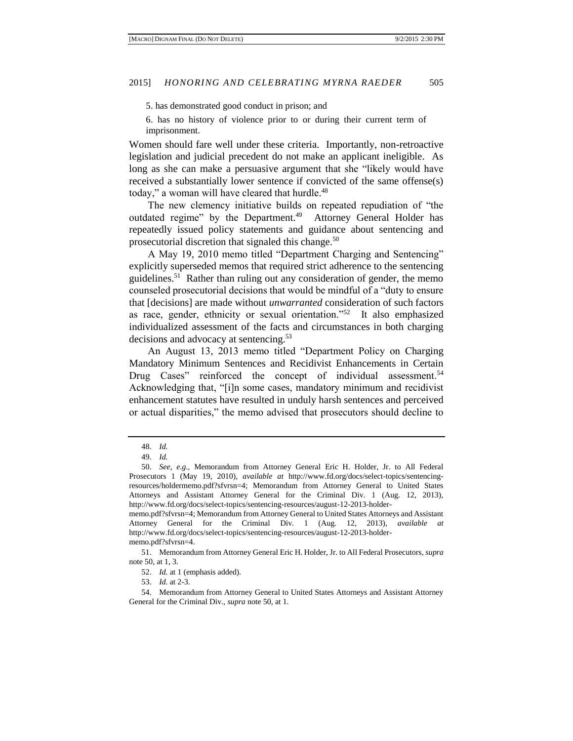5. has demonstrated good conduct in prison; and

6. has no history of violence prior to or during their current term of imprisonment.

Women should fare well under these criteria. Importantly, non-retroactive legislation and judicial precedent do not make an applicant ineligible. As long as she can make a persuasive argument that she "likely would have received a substantially lower sentence if convicted of the same offense(s) today," a woman will have cleared that hurdle.<sup>48</sup>

The new clemency initiative builds on repeated repudiation of "the outdated regime" by the Department.<sup>49</sup> Attorney General Holder has repeatedly issued policy statements and guidance about sentencing and prosecutorial discretion that signaled this change.<sup>50</sup>

A May 19, 2010 memo titled "Department Charging and Sentencing" explicitly superseded memos that required strict adherence to the sentencing guidelines.<sup>51</sup> Rather than ruling out any consideration of gender, the memo counseled prosecutorial decisions that would be mindful of a "duty to ensure that [decisions] are made without *unwarranted* consideration of such factors as race, gender, ethnicity or sexual orientation."<sup>52</sup> It also emphasized individualized assessment of the facts and circumstances in both charging decisions and advocacy at sentencing.<sup>53</sup>

An August 13, 2013 memo titled "Department Policy on Charging Mandatory Minimum Sentences and Recidivist Enhancements in Certain Drug Cases" reinforced the concept of individual assessment.<sup>54</sup> Acknowledging that, "[i]n some cases, mandatory minimum and recidivist enhancement statutes have resulted in unduly harsh sentences and perceived or actual disparities," the memo advised that prosecutors should decline to

52. *Id.* at 1 (emphasis added).

53. *Id.* at 2-3.

<sup>48.</sup> *Id.*

<sup>49.</sup> *Id.*

<sup>50.</sup> *See, e.g.,* Memorandum from Attorney General Eric H. Holder, Jr. to All Federal Prosecutors 1 (May 19, 2010), *available at* http://www.fd.org/docs/select-topics/sentencingresources/holdermemo.pdf?sfvrsn=4; Memorandum from Attorney General to United States Attorneys and Assistant Attorney General for the Criminal Div. 1 (Aug. 12, 2013), http://www.fd.org/docs/select-topics/sentencing-resources/august-12-2013-holder-

memo.pdf?sfvrsn=4; Memorandum from Attorney General to United States Attorneys and Assistant Attorney General for the Criminal Div. 1 (Aug. 12, 2013), *available at* http://www.fd.org/docs/select-topics/sentencing-resources/august-12-2013-holdermemo.pdf?sfvrsn=4.

<sup>51.</sup> Memorandum from Attorney General Eric H. Holder, Jr. to All Federal Prosecutors*, supra*  note 50, at 1, 3.

<sup>54.</sup> Memorandum from Attorney General to United States Attorneys and Assistant Attorney General for the Criminal Div., *supra* note 50, at 1.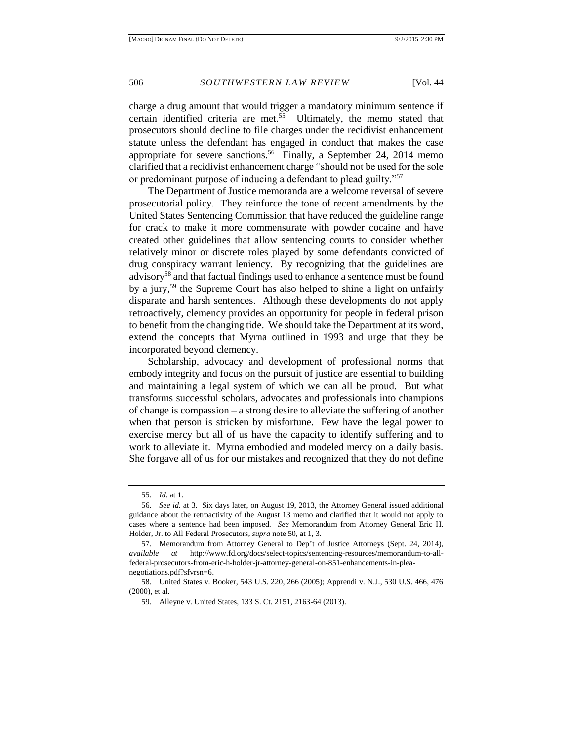charge a drug amount that would trigger a mandatory minimum sentence if certain identified criteria are met.<sup>55</sup> Ultimately, the memo stated that prosecutors should decline to file charges under the recidivist enhancement statute unless the defendant has engaged in conduct that makes the case appropriate for severe sanctions.<sup>56</sup> Finally, a September 24, 2014 memo clarified that a recidivist enhancement charge "should not be used for the sole or predominant purpose of inducing a defendant to plead guilty."<sup>57</sup>

The Department of Justice memoranda are a welcome reversal of severe prosecutorial policy. They reinforce the tone of recent amendments by the United States Sentencing Commission that have reduced the guideline range for crack to make it more commensurate with powder cocaine and have created other guidelines that allow sentencing courts to consider whether relatively minor or discrete roles played by some defendants convicted of drug conspiracy warrant leniency. By recognizing that the guidelines are advisory<sup>58</sup> and that factual findings used to enhance a sentence must be found by a jury,<sup>59</sup> the Supreme Court has also helped to shine a light on unfairly disparate and harsh sentences. Although these developments do not apply retroactively, clemency provides an opportunity for people in federal prison to benefit from the changing tide. We should take the Department at its word, extend the concepts that Myrna outlined in 1993 and urge that they be incorporated beyond clemency.

Scholarship, advocacy and development of professional norms that embody integrity and focus on the pursuit of justice are essential to building and maintaining a legal system of which we can all be proud. But what transforms successful scholars, advocates and professionals into champions of change is compassion – a strong desire to alleviate the suffering of another when that person is stricken by misfortune. Few have the legal power to exercise mercy but all of us have the capacity to identify suffering and to work to alleviate it. Myrna embodied and modeled mercy on a daily basis. She forgave all of us for our mistakes and recognized that they do not define

<sup>55.</sup> *Id*. at 1.

<sup>56.</sup> *See id.* at 3. Six days later, on August 19, 2013, the Attorney General issued additional guidance about the retroactivity of the August 13 memo and clarified that it would not apply to cases where a sentence had been imposed. *See* Memorandum from Attorney General Eric H. Holder, Jr. to All Federal Prosecutors*, supra* note 50, at 1, 3.

<sup>57.</sup> Memorandum from Attorney General to Dep't of Justice Attorneys (Sept. 24, 2014), *available at* http://www.fd.org/docs/select-topics/sentencing-resources/memorandum-to-allfederal-prosecutors-from-eric-h-holder-jr-attorney-general-on-851-enhancements-in-pleanegotiations.pdf?sfvrsn=6.

<sup>58.</sup> United States v. Booker, 543 U.S. 220, 266 (2005); Apprendi v. N.J., 530 U.S. 466, 476 (2000), et al.

<sup>59.</sup> Alleyne v. United States, 133 S. Ct. 2151, 2163-64 (2013).